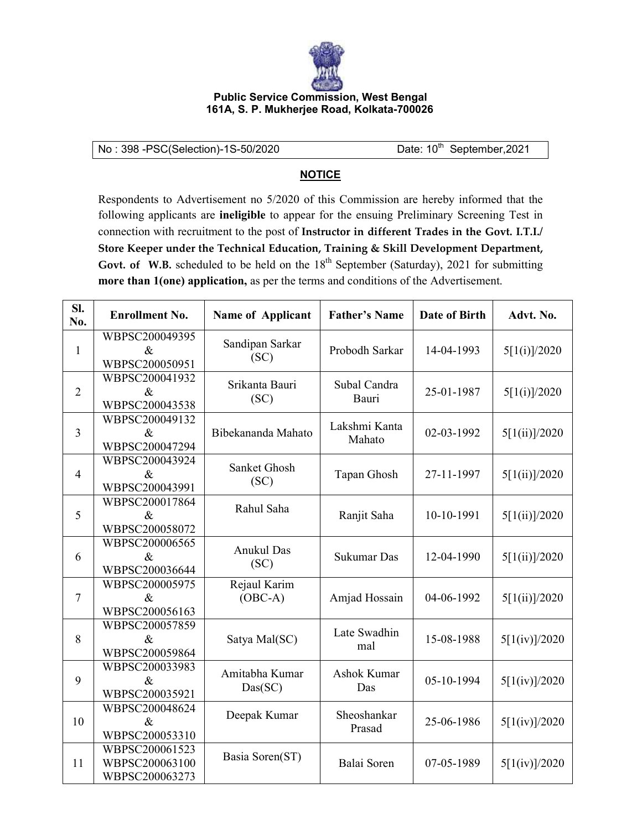

## **Public Service Commission, West Bengal 161A, S. P. Mukherjee Road, Kolkata-700026**

No: 398 -PSC(Selection)-1S-50/2020 Date: 10<sup>th</sup> September, 2021

## **NOTICE**

Respondents to Advertisement no 5/2020 of this Commission are hereby informed that the following applicants are **ineligible** to appear for the ensuing Preliminary Screening Test in connection with recruitment to the post of **Instructor in different Trades in the Govt. I.T.I./ Store Keeper under the Technical Education, Training & Skill Development Department,**  Govt. of W.B. scheduled to be held on the  $18<sup>th</sup>$  September (Saturday), 2021 for submitting **more than 1(one) application,** as per the terms and conditions of the Advertisement.

| SI.<br>No.     | <b>Enrollment No.</b>                              | <b>Name of Applicant</b>  | <b>Father's Name</b>    | <b>Date of Birth</b> | Advt. No.     |
|----------------|----------------------------------------------------|---------------------------|-------------------------|----------------------|---------------|
| $\mathbf{1}$   | WBPSC200049395<br>$\&$<br>WBPSC200050951           | Sandipan Sarkar<br>(SC)   | Probodh Sarkar          | 14-04-1993           | 5[1(i)]/2020  |
| $\overline{2}$ | WBPSC200041932<br>$\&$<br>WBPSC200043538           | Srikanta Bauri<br>(SC)    | Subal Candra<br>Bauri   | 25-01-1987           | 5[1(i)]/2020  |
| $\overline{3}$ | WBPSC200049132<br>$\&$<br>WBPSC200047294           | Bibekananda Mahato        | Lakshmi Kanta<br>Mahato | 02-03-1992           | 5[1(ii)]/2020 |
| $\overline{4}$ | WBPSC200043924<br>$\&$<br>WBPSC200043991           | Sanket Ghosh<br>(SC)      | Tapan Ghosh             | 27-11-1997           | 5[1(ii)]/2020 |
| 5              | WBPSC200017864<br>$\&$<br>WBPSC200058072           | Rahul Saha                | Ranjit Saha             | 10-10-1991           | 5[1(ii)]/2020 |
| 6              | WBPSC200006565<br>$\&$<br>WBPSC200036644           | Anukul Das<br>(SC)        | Sukumar Das             | 12-04-1990           | 5[1(ii)]/2020 |
| $\overline{7}$ | WBPSC200005975<br>$\&$<br>WBPSC200056163           | Rejaul Karim<br>$(OBC-A)$ | Amjad Hossain           | 04-06-1992           | 5[1(ii)]/2020 |
| 8              | WBPSC200057859<br>$\&$<br>WBPSC200059864           | Satya Mal(SC)             | Late Swadhin<br>mal     | 15-08-1988           | 5[1(iv)]/2020 |
| 9              | WBPSC200033983<br>$\&$<br>WBPSC200035921           | Amitabha Kumar<br>Das(SC) | Ashok Kumar<br>Das      | 05-10-1994           | 5[1(iv)]/2020 |
| 10             | WBPSC200048624<br>$\&$<br>WBPSC200053310           | Deepak Kumar              | Sheoshankar<br>Prasad   | 25-06-1986           | 5[1(iv)]/2020 |
| 11             | WBPSC200061523<br>WBPSC200063100<br>WBPSC200063273 | Basia Soren(ST)           | Balai Soren             | 07-05-1989           | 5[1(iv)]/2020 |